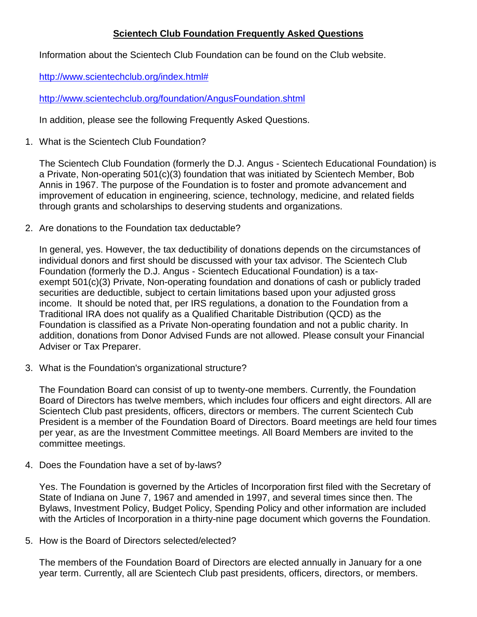## **Scientech Club Foundation Frequently Asked Questions**

Information about the Scientech Club Foundation can be found on the Club website.

[http://www.scientechclub.org/index.html#](http://www.scientechclub.org/index.html)

<http://www.scientechclub.org/foundation/AngusFoundation.shtml>

In addition, please see the following Frequently Asked Questions.

1. What is the Scientech Club Foundation?

The Scientech Club Foundation (formerly the D.J. Angus - Scientech Educational Foundation) is a Private, Non-operating 501(c)(3) foundation that was initiated by Scientech Member, Bob Annis in 1967. The purpose of the Foundation is to foster and promote advancement and improvement of education in engineering, science, technology, medicine, and related fields through grants and scholarships to deserving students and organizations.

2. Are donations to the Foundation tax deductable?

In general, yes. However, the tax deductibility of donations depends on the circumstances of individual donors and first should be discussed with your tax advisor. The Scientech Club Foundation (formerly the D.J. Angus - Scientech Educational Foundation) is a taxexempt 501(c)(3) Private, Non-operating foundation and donations of cash or publicly traded securities are deductible, subject to certain limitations based upon your adjusted gross income. It should be noted that, per IRS regulations, a donation to the Foundation from a Traditional IRA does not qualify as a Qualified Charitable Distribution (QCD) as the Foundation is classified as a Private Non-operating foundation and not a public charity. In addition, donations from Donor Advised Funds are not allowed. Please consult your Financial Adviser or Tax Preparer.

3. What is the Foundation's organizational structure?

The Foundation Board can consist of up to twenty-one members. Currently, the Foundation Board of Directors has twelve members, which includes four officers and eight directors. All are Scientech Club past presidents, officers, directors or members. The current Scientech Cub President is a member of the Foundation Board of Directors. Board meetings are held four times per year, as are the Investment Committee meetings. All Board Members are invited to the committee meetings.

4. Does the Foundation have a set of by-laws?

Yes. The Foundation is governed by the Articles of Incorporation first filed with the Secretary of State of Indiana on June 7, 1967 and amended in 1997, and several times since then. The Bylaws, Investment Policy, Budget Policy, Spending Policy and other information are included with the Articles of Incorporation in a thirty-nine page document which governs the Foundation.

5. How is the Board of Directors selected/elected?

The members of the Foundation Board of Directors are elected annually in January for a one year term. Currently, all are Scientech Club past presidents, officers, directors, or members.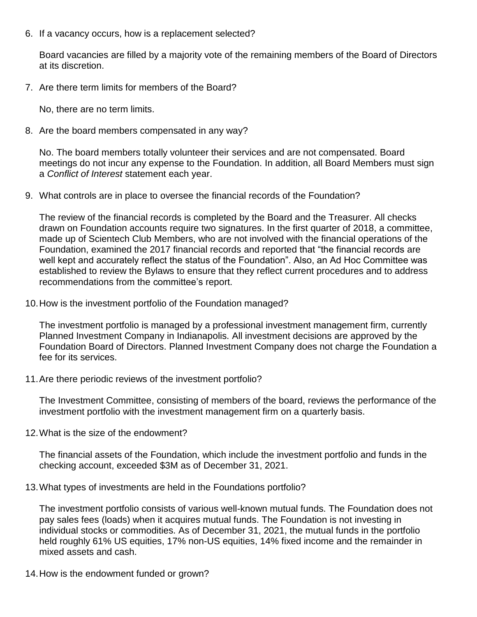6. If a vacancy occurs, how is a replacement selected?

Board vacancies are filled by a majority vote of the remaining members of the Board of Directors at its discretion.

7. Are there term limits for members of the Board?

No, there are no term limits.

8. Are the board members compensated in any way?

No. The board members totally volunteer their services and are not compensated. Board meetings do not incur any expense to the Foundation. In addition, all Board Members must sign a *Conflict of Interest* statement each year.

9. What controls are in place to oversee the financial records of the Foundation?

The review of the financial records is completed by the Board and the Treasurer. All checks drawn on Foundation accounts require two signatures. In the first quarter of 2018, a committee, made up of Scientech Club Members, who are not involved with the financial operations of the Foundation, examined the 2017 financial records and reported that "the financial records are well kept and accurately reflect the status of the Foundation". Also, an Ad Hoc Committee was established to review the Bylaws to ensure that they reflect current procedures and to address recommendations from the committee's report.

10.How is the investment portfolio of the Foundation managed?

The investment portfolio is managed by a professional investment management firm, currently Planned Investment Company in Indianapolis. All investment decisions are approved by the Foundation Board of Directors. Planned Investment Company does not charge the Foundation a fee for its services.

11.Are there periodic reviews of the investment portfolio?

The Investment Committee, consisting of members of the board, reviews the performance of the investment portfolio with the investment management firm on a quarterly basis.

12.What is the size of the endowment?

The financial assets of the Foundation, which include the investment portfolio and funds in the checking account, exceeded \$3M as of December 31, 2021.

13.What types of investments are held in the Foundations portfolio?

The investment portfolio consists of various well-known mutual funds. The Foundation does not pay sales fees (loads) when it acquires mutual funds. The Foundation is not investing in individual stocks or commodities. As of December 31, 2021, the mutual funds in the portfolio held roughly 61% US equities, 17% non-US equities, 14% fixed income and the remainder in mixed assets and cash.

14.How is the endowment funded or grown?